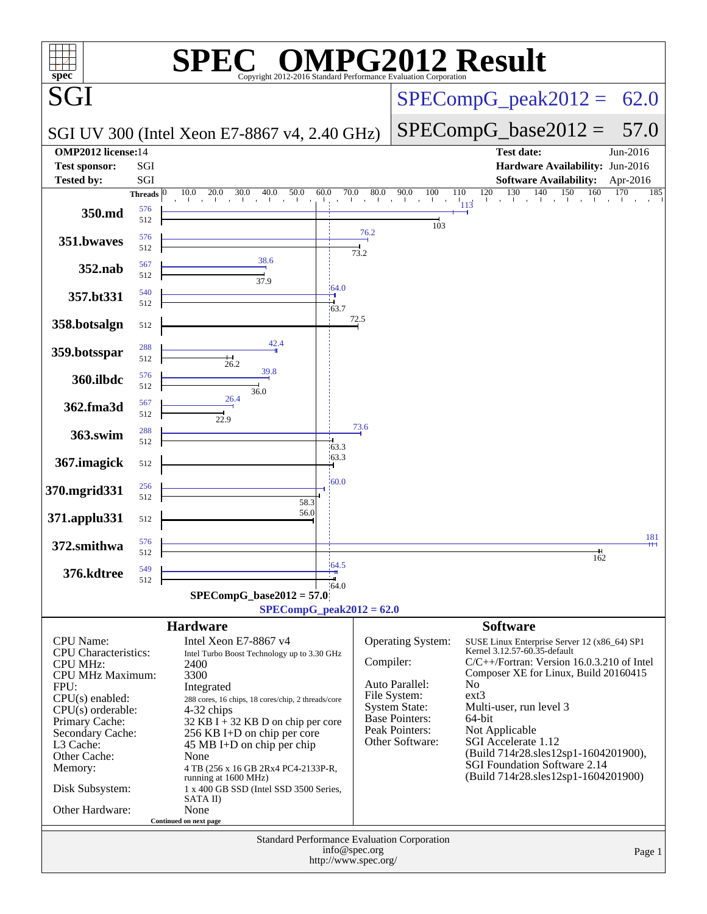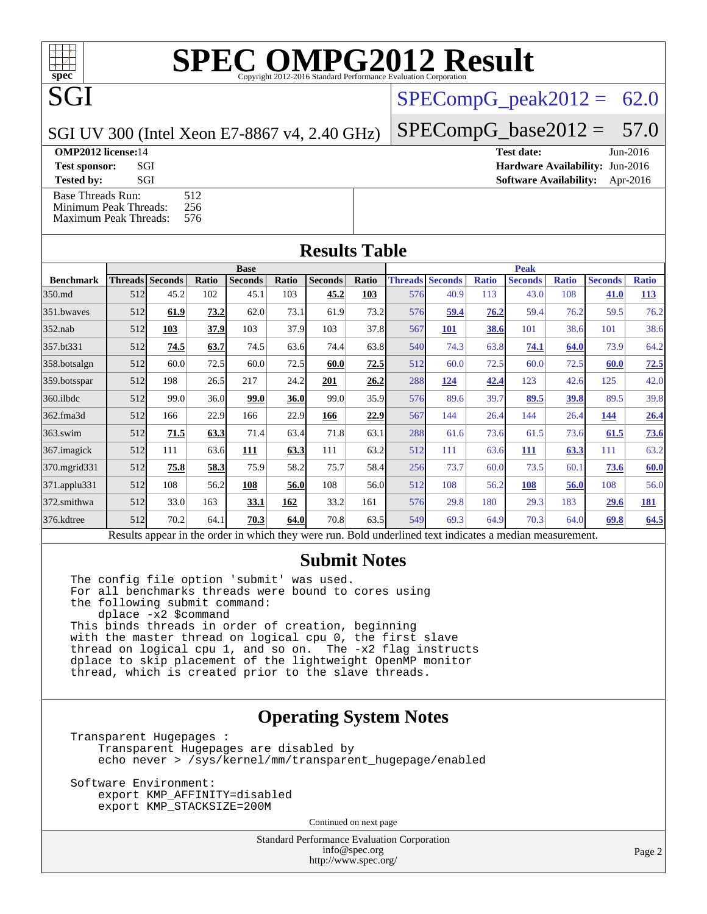SGI UV 300 (Intel Xeon E7-8867 v4, 2.40 GHz)

**SGI** 

[Base Threads Run:](http://www.spec.org/auto/omp2012/Docs/result-fields.html#BaseThreadsRun) 512<br>Minimum Peak Threads: 256 [Minimum Peak Threads:](http://www.spec.org/auto/omp2012/Docs/result-fields.html#MinimumPeakThreads)

 $SPECompG_peak2012 = 62.0$  $SPECompG_peak2012 = 62.0$ 

 $SPECompG_base2012 = 57.0$  $SPECompG_base2012 = 57.0$ 

**[OMP2012 license:](http://www.spec.org/auto/omp2012/Docs/result-fields.html#OMP2012license)**14 **[Test date:](http://www.spec.org/auto/omp2012/Docs/result-fields.html#Testdate)** Jun-2016 **[Test sponsor:](http://www.spec.org/auto/omp2012/Docs/result-fields.html#Testsponsor)** SGI **[Hardware Availability:](http://www.spec.org/auto/omp2012/Docs/result-fields.html#HardwareAvailability)** Jun-2016 **[Tested by:](http://www.spec.org/auto/omp2012/Docs/result-fields.html#Testedby)** SGI SOL SGI SOFTWARE AVAILABILITY: Apr-2016

| мишиции г сак типсацз.<br>576<br><b>Maximum Peak Threads:</b> |                        |      |       |                |       |                |              |             |                        |              |                                                                                                         |              |                |              |
|---------------------------------------------------------------|------------------------|------|-------|----------------|-------|----------------|--------------|-------------|------------------------|--------------|---------------------------------------------------------------------------------------------------------|--------------|----------------|--------------|
| <b>Results Table</b>                                          |                        |      |       |                |       |                |              |             |                        |              |                                                                                                         |              |                |              |
|                                                               | <b>Base</b>            |      |       |                |       |                |              | <b>Peak</b> |                        |              |                                                                                                         |              |                |              |
| <b>Benchmark</b>                                              | <b>Threads Seconds</b> |      | Ratio | <b>Seconds</b> | Ratio | <b>Seconds</b> | <b>Ratio</b> |             | <b>Threads Seconds</b> | <b>Ratio</b> | <b>Seconds</b>                                                                                          | <b>Ratio</b> | <b>Seconds</b> | <b>Ratio</b> |
| 350.md                                                        | 512                    | 45.2 | 102   | 45.1           | 103   | 45.2           | 103          | 576         | 40.9                   | 113          | 43.0                                                                                                    | 108          | 41.0           | <u>113</u>   |
| 351.bwaves                                                    | 512                    | 61.9 | 73.2  | 62.0           | 73.1  | 61.9           | 73.2         | 576         | 59.4                   | 76.2         | 59.4                                                                                                    | 76.2         | 59.5           | 76.2         |
| $352$ .nab                                                    | 512                    | 103  | 37.9  | 103            | 37.9  | 103            | 37.8         | 567         | 101                    | 38.6         | 101                                                                                                     | 38.6         | 101            | 38.6         |
| 357.bt331                                                     | 512                    | 74.5 | 63.7  | 74.5           | 63.6  | 74.4           | 63.8         | 540         | 74.3                   | 63.8         | 74.1                                                                                                    | 64.0         | 73.9           | 64.2         |
| 358.botsalgn                                                  | 512                    | 60.0 | 72.5  | 60.0           | 72.5  | 60.0           | 72.5         | 512         | 60.0                   | 72.5         | 60.0                                                                                                    | 72.5         | 60.0           | 72.5         |
| 359.botsspar                                                  | 512                    | 198  | 26.5  | 217            | 24.2  | 201            | 26.2         | 288         | 124                    | 42.4         | 123                                                                                                     | 42.6         | 125            | 42.0         |
| $360$ .ilbdc                                                  | 512                    | 99.0 | 36.0  | 99.0           | 36.0  | 99.0           | 35.9         | 576         | 89.6                   | 39.7         | 89.5                                                                                                    | 39.8         | 89.5           | 39.8         |
| 362.fma3d                                                     | 512                    | 166  | 22.9  | 166            | 22.9  | 166            | 22.9         | 567         | 144                    | 26.4         | 144                                                                                                     | 26.4         | 144            | 26.4         |
| $363$ .swim                                                   | 512                    | 71.5 | 63.3  | 71.4           | 63.4  | 71.8           | 63.1         | 288         | 61.6                   | 73.6         | 61.5                                                                                                    | 73.6         | 61.5           | 73.6         |
| 367.imagick                                                   | 512                    | 111  | 63.6  | 111            | 63.3  | 111            | 63.2         | 512         | 111                    | 63.6         | 111                                                                                                     | 63.3         | 111            | 63.2         |
| 370.mgrid331                                                  | 512                    | 75.8 | 58.3  | 75.9           | 58.2  | 75.7           | 58.4         | 256         | 73.7                   | 60.0         | 73.5                                                                                                    | 60.1         | 73.6           | 60.0         |
| 371.applu331                                                  | 512                    | 108  | 56.2  | 108            | 56.0  | 108            | 56.0         | 512         | 108                    | 56.2         | <b>108</b>                                                                                              | 56.0         | 108            | 56.0         |
| 372.smithwa                                                   | 512                    | 33.0 | 163   | 33.1           | 162   | 33.2           | 161          | 576         | 29.8                   | 180          | 29.3                                                                                                    | 183          | 29.6           | <u>181</u>   |
| 376.kdtree                                                    | 512                    | 70.2 | 64.1  | 70.3           | 64.0  | 70.8           | 63.5         | 549         | 69.3                   | 64.9         | 70.3                                                                                                    | 64.0         | 69.8           | 64.5         |
|                                                               |                        |      |       |                |       |                |              |             |                        |              | Recults appear in the order in which they were run. Rold underlined text indicates a median measurement |              |                |              |

Results appear in the [order in which they were run.](http://www.spec.org/auto/omp2012/Docs/result-fields.html#RunOrder) Bold underlined text [indicates a median measurement.](http://www.spec.org/auto/omp2012/Docs/result-fields.html#Median)

#### **[Submit Notes](http://www.spec.org/auto/omp2012/Docs/result-fields.html#SubmitNotes)**

The config file option 'submit' was used. For all benchmarks threads were bound to cores using the following submit command: dplace -x2 \$command This binds threads in order of creation, beginning with the master thread on logical cpu 0, the first slave thread on logical cpu 1, and so on. The -x2 flag instructs dplace to skip placement of the lightweight OpenMP monitor thread, which is created prior to the slave threads.

#### **[Operating System Notes](http://www.spec.org/auto/omp2012/Docs/result-fields.html#OperatingSystemNotes)**

Transparent Hugepages : Transparent Hugepages are disabled by echo never > /sys/kernel/mm/transparent\_hugepage/enabled

Software Environment: export KMP\_AFFINITY=disabled export KMP\_STACKSIZE=200M

Continued on next page

Standard Performance Evaluation Corporation [info@spec.org](mailto:info@spec.org) <http://www.spec.org/>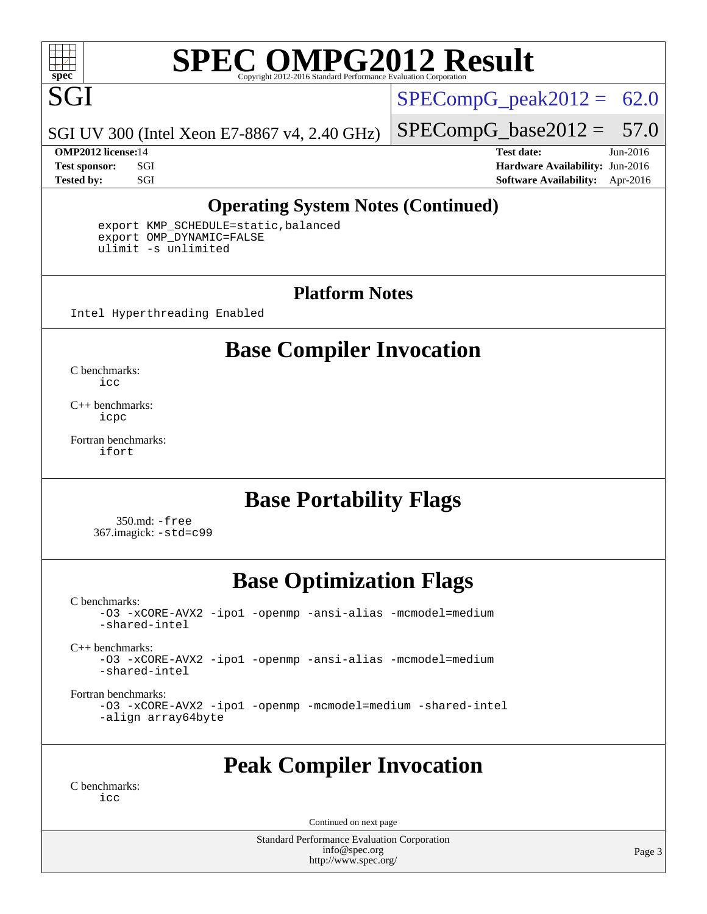

 $SPECompG_peak2012 = 62.0$  $SPECompG_peak2012 = 62.0$ 

SGI UV 300 (Intel Xeon E7-8867 v4, 2.40 GHz)

**[OMP2012 license:](http://www.spec.org/auto/omp2012/Docs/result-fields.html#OMP2012license)**14 **[Test date:](http://www.spec.org/auto/omp2012/Docs/result-fields.html#Testdate)** Jun-2016

 $SPECompG_base2012 = 57.0$  $SPECompG_base2012 = 57.0$ 

**[Test sponsor:](http://www.spec.org/auto/omp2012/Docs/result-fields.html#Testsponsor)** SGI **[Hardware Availability:](http://www.spec.org/auto/omp2012/Docs/result-fields.html#HardwareAvailability)** Jun-2016 **[Tested by:](http://www.spec.org/auto/omp2012/Docs/result-fields.html#Testedby)** SGI SOL SGI SOFTWARE AVAILABILITY: Apr-2016

#### **[Operating System Notes \(Continued\)](http://www.spec.org/auto/omp2012/Docs/result-fields.html#OperatingSystemNotes)**

 export KMP\_SCHEDULE=static,balanced export OMP\_DYNAMIC=FALSE ulimit -s unlimited

#### **[Platform Notes](http://www.spec.org/auto/omp2012/Docs/result-fields.html#PlatformNotes)**

Intel Hyperthreading Enabled

### **[Base Compiler Invocation](http://www.spec.org/auto/omp2012/Docs/result-fields.html#BaseCompilerInvocation)**

[C benchmarks](http://www.spec.org/auto/omp2012/Docs/result-fields.html#Cbenchmarks): [icc](http://www.spec.org/omp2012/results/res2016q3/omp2012-20160613-00078.flags.html#user_CCbase_intel_icc_a87c68a857bc5ec5362391a49d3a37a6)

[C++ benchmarks:](http://www.spec.org/auto/omp2012/Docs/result-fields.html#CXXbenchmarks) [icpc](http://www.spec.org/omp2012/results/res2016q3/omp2012-20160613-00078.flags.html#user_CXXbase_intel_icpc_2d899f8d163502b12eb4a60069f80c1c)

[Fortran benchmarks](http://www.spec.org/auto/omp2012/Docs/result-fields.html#Fortranbenchmarks): [ifort](http://www.spec.org/omp2012/results/res2016q3/omp2012-20160613-00078.flags.html#user_FCbase_intel_ifort_8a5e5e06b19a251bdeaf8fdab5d62f20)

### **[Base Portability Flags](http://www.spec.org/auto/omp2012/Docs/result-fields.html#BasePortabilityFlags)**

 350.md: [-free](http://www.spec.org/omp2012/results/res2016q3/omp2012-20160613-00078.flags.html#user_baseFPORTABILITY350_md_free) 367.imagick: [-std=c99](http://www.spec.org/omp2012/results/res2016q3/omp2012-20160613-00078.flags.html#user_baseCPORTABILITY367_imagick_std_2ec6533b6e06f1c4a6c9b78d9e9cde24)

### **[Base Optimization Flags](http://www.spec.org/auto/omp2012/Docs/result-fields.html#BaseOptimizationFlags)**

[C benchmarks](http://www.spec.org/auto/omp2012/Docs/result-fields.html#Cbenchmarks):

[-O3](http://www.spec.org/omp2012/results/res2016q3/omp2012-20160613-00078.flags.html#user_CCbase_f-O3) [-xCORE-AVX2](http://www.spec.org/omp2012/results/res2016q3/omp2012-20160613-00078.flags.html#user_CCbase_f-xCORE-AVX2) [-ipo1](http://www.spec.org/omp2012/results/res2016q3/omp2012-20160613-00078.flags.html#user_CCbase_f-ipo_116921c2575d566c213f1dd5e08493d2) [-openmp](http://www.spec.org/omp2012/results/res2016q3/omp2012-20160613-00078.flags.html#user_CCbase_f-openmp) [-ansi-alias](http://www.spec.org/omp2012/results/res2016q3/omp2012-20160613-00078.flags.html#user_CCbase_f-ansi-alias) [-mcmodel=medium](http://www.spec.org/omp2012/results/res2016q3/omp2012-20160613-00078.flags.html#user_CCbase_f-mcmodel_3a41622424bdd074c4f0f2d2f224c7e5) [-shared-intel](http://www.spec.org/omp2012/results/res2016q3/omp2012-20160613-00078.flags.html#user_CCbase_f-shared-intel) [C++ benchmarks:](http://www.spec.org/auto/omp2012/Docs/result-fields.html#CXXbenchmarks) [-O3](http://www.spec.org/omp2012/results/res2016q3/omp2012-20160613-00078.flags.html#user_CXXbase_f-O3) [-xCORE-AVX2](http://www.spec.org/omp2012/results/res2016q3/omp2012-20160613-00078.flags.html#user_CXXbase_f-xCORE-AVX2) [-ipo1](http://www.spec.org/omp2012/results/res2016q3/omp2012-20160613-00078.flags.html#user_CXXbase_f-ipo_116921c2575d566c213f1dd5e08493d2) [-openmp](http://www.spec.org/omp2012/results/res2016q3/omp2012-20160613-00078.flags.html#user_CXXbase_f-openmp) [-ansi-alias](http://www.spec.org/omp2012/results/res2016q3/omp2012-20160613-00078.flags.html#user_CXXbase_f-ansi-alias) [-mcmodel=medium](http://www.spec.org/omp2012/results/res2016q3/omp2012-20160613-00078.flags.html#user_CXXbase_f-mcmodel_3a41622424bdd074c4f0f2d2f224c7e5) [-shared-intel](http://www.spec.org/omp2012/results/res2016q3/omp2012-20160613-00078.flags.html#user_CXXbase_f-shared-intel)

[Fortran benchmarks](http://www.spec.org/auto/omp2012/Docs/result-fields.html#Fortranbenchmarks): [-O3](http://www.spec.org/omp2012/results/res2016q3/omp2012-20160613-00078.flags.html#user_FCbase_f-O3) [-xCORE-AVX2](http://www.spec.org/omp2012/results/res2016q3/omp2012-20160613-00078.flags.html#user_FCbase_f-xCORE-AVX2) [-ipo1](http://www.spec.org/omp2012/results/res2016q3/omp2012-20160613-00078.flags.html#user_FCbase_f-ipo_116921c2575d566c213f1dd5e08493d2) [-openmp](http://www.spec.org/omp2012/results/res2016q3/omp2012-20160613-00078.flags.html#user_FCbase_f-openmp) [-mcmodel=medium](http://www.spec.org/omp2012/results/res2016q3/omp2012-20160613-00078.flags.html#user_FCbase_f-mcmodel_3a41622424bdd074c4f0f2d2f224c7e5) [-shared-intel](http://www.spec.org/omp2012/results/res2016q3/omp2012-20160613-00078.flags.html#user_FCbase_f-shared-intel) [-align array64byte](http://www.spec.org/omp2012/results/res2016q3/omp2012-20160613-00078.flags.html#user_FCbase_f-align_c9377f996e966d652baaf753401d4725)

### **[Peak Compiler Invocation](http://www.spec.org/auto/omp2012/Docs/result-fields.html#PeakCompilerInvocation)**

[C benchmarks](http://www.spec.org/auto/omp2012/Docs/result-fields.html#Cbenchmarks): [icc](http://www.spec.org/omp2012/results/res2016q3/omp2012-20160613-00078.flags.html#user_CCpeak_intel_icc_a87c68a857bc5ec5362391a49d3a37a6)

Continued on next page

Standard Performance Evaluation Corporation [info@spec.org](mailto:info@spec.org) <http://www.spec.org/>

Page 3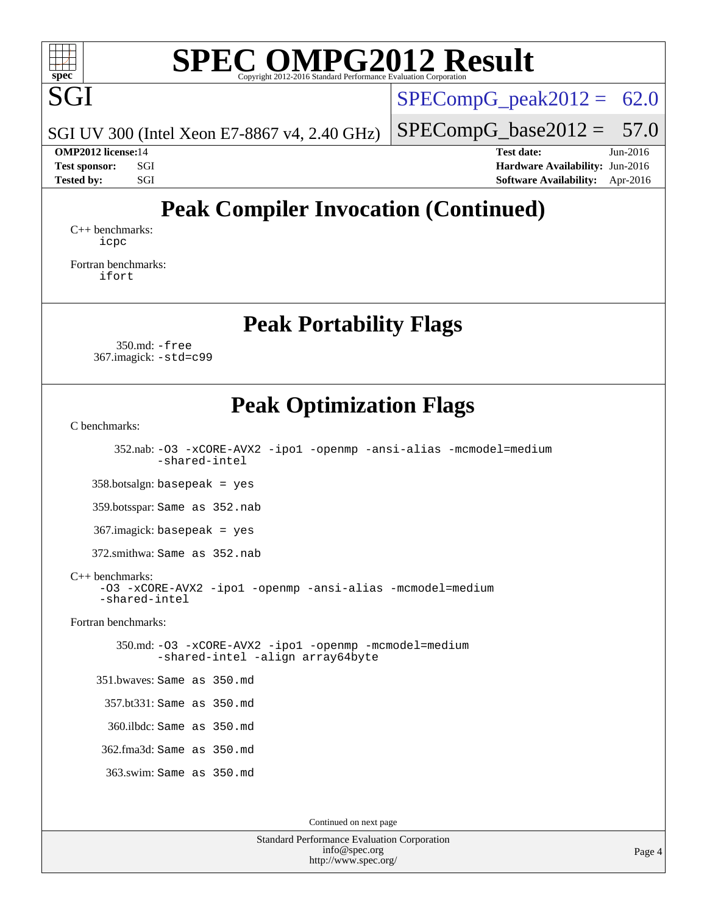

SGI UV 300 (Intel Xeon E7-8867 v4, 2.40 GHz)

 $SPECompG_peak2012 = 62.0$  $SPECompG_peak2012 = 62.0$ 

 $SPECompG_base2012 = 57.0$  $SPECompG_base2012 = 57.0$ 

**[OMP2012 license:](http://www.spec.org/auto/omp2012/Docs/result-fields.html#OMP2012license)**14 **[Test date:](http://www.spec.org/auto/omp2012/Docs/result-fields.html#Testdate)** Jun-2016 **[Test sponsor:](http://www.spec.org/auto/omp2012/Docs/result-fields.html#Testsponsor)** SGI **[Hardware Availability:](http://www.spec.org/auto/omp2012/Docs/result-fields.html#HardwareAvailability)** Jun-2016 **[Tested by:](http://www.spec.org/auto/omp2012/Docs/result-fields.html#Testedby)** SGI SOL SGI SOFTWARE AVAILABILITY: Apr-2016

### **[Peak Compiler Invocation \(Continued\)](http://www.spec.org/auto/omp2012/Docs/result-fields.html#PeakCompilerInvocation)**

[C++ benchmarks:](http://www.spec.org/auto/omp2012/Docs/result-fields.html#CXXbenchmarks) [icpc](http://www.spec.org/omp2012/results/res2016q3/omp2012-20160613-00078.flags.html#user_CXXpeak_intel_icpc_2d899f8d163502b12eb4a60069f80c1c)

[Fortran benchmarks](http://www.spec.org/auto/omp2012/Docs/result-fields.html#Fortranbenchmarks): [ifort](http://www.spec.org/omp2012/results/res2016q3/omp2012-20160613-00078.flags.html#user_FCpeak_intel_ifort_8a5e5e06b19a251bdeaf8fdab5d62f20)

**[Peak Portability Flags](http://www.spec.org/auto/omp2012/Docs/result-fields.html#PeakPortabilityFlags)**

 350.md: [-free](http://www.spec.org/omp2012/results/res2016q3/omp2012-20160613-00078.flags.html#user_peakFPORTABILITY350_md_free) 367.imagick: [-std=c99](http://www.spec.org/omp2012/results/res2016q3/omp2012-20160613-00078.flags.html#user_peakCPORTABILITY367_imagick_std_2ec6533b6e06f1c4a6c9b78d9e9cde24)

### **[Peak Optimization Flags](http://www.spec.org/auto/omp2012/Docs/result-fields.html#PeakOptimizationFlags)**

[C benchmarks](http://www.spec.org/auto/omp2012/Docs/result-fields.html#Cbenchmarks):

 352.nab: [-O3](http://www.spec.org/omp2012/results/res2016q3/omp2012-20160613-00078.flags.html#user_peakCOPTIMIZE352_nab_f-O3) [-xCORE-AVX2](http://www.spec.org/omp2012/results/res2016q3/omp2012-20160613-00078.flags.html#user_peakCOPTIMIZE352_nab_f-xCORE-AVX2) [-ipo1](http://www.spec.org/omp2012/results/res2016q3/omp2012-20160613-00078.flags.html#user_peakCOPTIMIZE352_nab_f-ipo_116921c2575d566c213f1dd5e08493d2) [-openmp](http://www.spec.org/omp2012/results/res2016q3/omp2012-20160613-00078.flags.html#user_peakCOPTIMIZE352_nab_f-openmp) [-ansi-alias](http://www.spec.org/omp2012/results/res2016q3/omp2012-20160613-00078.flags.html#user_peakCOPTIMIZE352_nab_f-ansi-alias) [-mcmodel=medium](http://www.spec.org/omp2012/results/res2016q3/omp2012-20160613-00078.flags.html#user_peakCOPTIMIZE352_nab_f-mcmodel_3a41622424bdd074c4f0f2d2f224c7e5) [-shared-intel](http://www.spec.org/omp2012/results/res2016q3/omp2012-20160613-00078.flags.html#user_peakCOPTIMIZE352_nab_f-shared-intel) 358.botsalgn: basepeak = yes 359.botsspar: Same as 352.nab 367.imagick: basepeak = yes

372.smithwa: Same as 352.nab

#### [C++ benchmarks:](http://www.spec.org/auto/omp2012/Docs/result-fields.html#CXXbenchmarks)

[-O3](http://www.spec.org/omp2012/results/res2016q3/omp2012-20160613-00078.flags.html#user_CXXpeak_f-O3) [-xCORE-AVX2](http://www.spec.org/omp2012/results/res2016q3/omp2012-20160613-00078.flags.html#user_CXXpeak_f-xCORE-AVX2) [-ipo1](http://www.spec.org/omp2012/results/res2016q3/omp2012-20160613-00078.flags.html#user_CXXpeak_f-ipo_116921c2575d566c213f1dd5e08493d2) [-openmp](http://www.spec.org/omp2012/results/res2016q3/omp2012-20160613-00078.flags.html#user_CXXpeak_f-openmp) [-ansi-alias](http://www.spec.org/omp2012/results/res2016q3/omp2012-20160613-00078.flags.html#user_CXXpeak_f-ansi-alias) [-mcmodel=medium](http://www.spec.org/omp2012/results/res2016q3/omp2012-20160613-00078.flags.html#user_CXXpeak_f-mcmodel_3a41622424bdd074c4f0f2d2f224c7e5) [-shared-intel](http://www.spec.org/omp2012/results/res2016q3/omp2012-20160613-00078.flags.html#user_CXXpeak_f-shared-intel)

[Fortran benchmarks](http://www.spec.org/auto/omp2012/Docs/result-fields.html#Fortranbenchmarks):

 350.md: [-O3](http://www.spec.org/omp2012/results/res2016q3/omp2012-20160613-00078.flags.html#user_peakFOPTIMIZE350_md_f-O3) [-xCORE-AVX2](http://www.spec.org/omp2012/results/res2016q3/omp2012-20160613-00078.flags.html#user_peakFOPTIMIZE350_md_f-xCORE-AVX2) [-ipo1](http://www.spec.org/omp2012/results/res2016q3/omp2012-20160613-00078.flags.html#user_peakFOPTIMIZE350_md_f-ipo_116921c2575d566c213f1dd5e08493d2) [-openmp](http://www.spec.org/omp2012/results/res2016q3/omp2012-20160613-00078.flags.html#user_peakFOPTIMIZE350_md_f-openmp) [-mcmodel=medium](http://www.spec.org/omp2012/results/res2016q3/omp2012-20160613-00078.flags.html#user_peakFOPTIMIZE350_md_f-mcmodel_3a41622424bdd074c4f0f2d2f224c7e5) [-shared-intel](http://www.spec.org/omp2012/results/res2016q3/omp2012-20160613-00078.flags.html#user_peakFOPTIMIZE350_md_f-shared-intel) [-align array64byte](http://www.spec.org/omp2012/results/res2016q3/omp2012-20160613-00078.flags.html#user_peakFOPTIMIZE350_md_f-align_c9377f996e966d652baaf753401d4725)

351.bwaves: Same as 350.md

357.bt331: Same as 350.md

360.ilbdc: Same as 350.md

362.fma3d: Same as 350.md

363.swim: Same as 350.md

Continued on next page

Standard Performance Evaluation Corporation [info@spec.org](mailto:info@spec.org) <http://www.spec.org/>